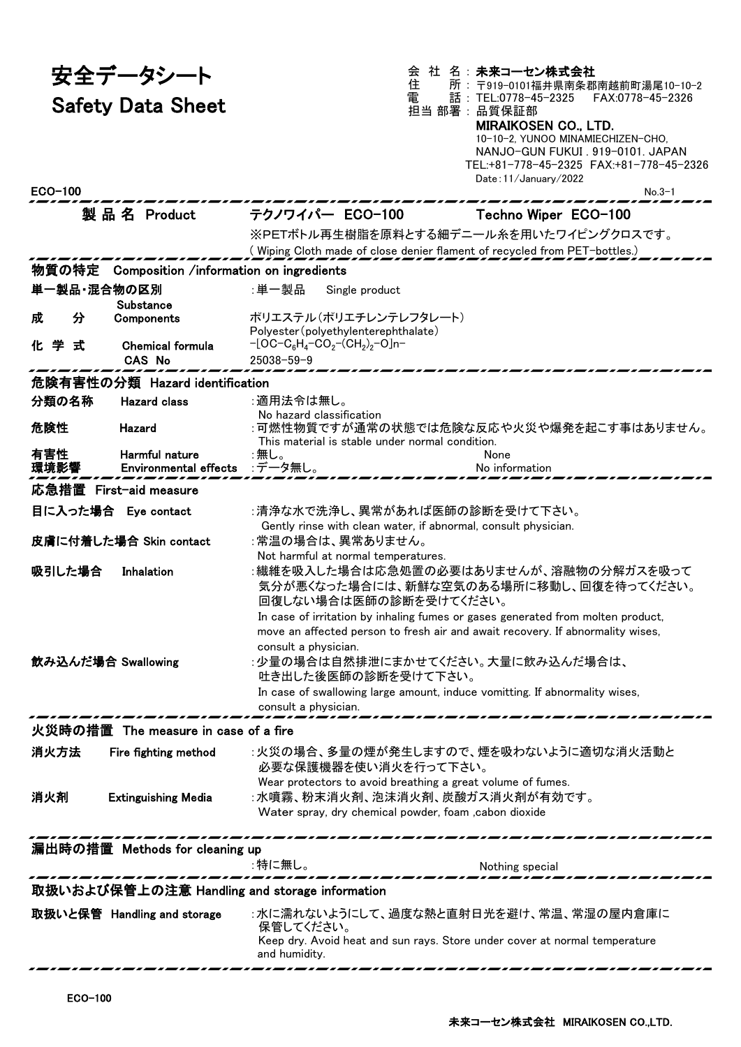安全データシート Safety Data Sheet 会 社 名: 未来コーセン株式会社

住 所 : 〒919-0101福井県南条郡南越前町湯尾10-10-2 電 話 : TEL:0778-45-2325 FAX:0778-45-2326 担当 部署 : 品質保証部

## MIRAIKOSEN CO., LTD.

10-10-2, YUNOO MINAMIECHIZEN-CHO, NANJO-GUN FUKUI . 919-0101. JAPAN TEL:+81-778-45-2325 FAX:+81-778-45-2326  $D_{\text{at}}$ :11/Ja

| ECO-100                                            |                                         |                                                                                         | Date: II/January/2022<br>$No.3-1$       |  |  |  |
|----------------------------------------------------|-----------------------------------------|-----------------------------------------------------------------------------------------|-----------------------------------------|--|--|--|
|                                                    | 製品名 Product                             | テクノワイパー ECO-100                                                                         | Techno Wiper ECO-100                    |  |  |  |
|                                                    |                                         | ※PETボトル再生樹脂を原料とする細デニール糸を用いたワイピングクロスです。                                                  |                                         |  |  |  |
|                                                    |                                         | (Wiping Cloth made of close denier flament of recycled from PET-bottles.)               |                                         |  |  |  |
| 物質の特定                                              | Composition /information on ingredients |                                                                                         |                                         |  |  |  |
| 単一製品・混合物の区別                                        |                                         | :単一製品<br>Single product                                                                 |                                         |  |  |  |
|                                                    | Substance                               |                                                                                         |                                         |  |  |  |
| 分<br>成                                             | Components                              | ポリエステル(ポリエチレンテレフタレート)                                                                   |                                         |  |  |  |
| 化学<br>式                                            | <b>Chemical formula</b>                 | Polyester (polyethylenterephthalate)<br>$-[OC-C_6H_4-CO_2-(CH_2)_2-O]n-$                |                                         |  |  |  |
|                                                    | <b>CAS No</b>                           | $25038 - 59 - 9$                                                                        |                                         |  |  |  |
|                                                    | 危険有害性の分類 Hazard identification          |                                                                                         |                                         |  |  |  |
| 分類の名称                                              | <b>Hazard class</b>                     | :適用法令は無し。                                                                               |                                         |  |  |  |
|                                                    |                                         | No hazard classification                                                                |                                         |  |  |  |
| 危険性                                                | Hazard                                  |                                                                                         | :可燃性物質ですが通常の状態では危険な反応や火災や爆発を起こす事はありません。 |  |  |  |
| 有害性                                                | Harmful nature                          | This material is stable under normal condition.<br>:無し。                                 | None                                    |  |  |  |
| 環境影響                                               | <b>Environmental effects</b>            | :データ無し。                                                                                 | No information                          |  |  |  |
| 応急措置 First-aid measure                             |                                         |                                                                                         |                                         |  |  |  |
| 目に入った場合 Eye contact                                |                                         | :清浄な水で洗浄し、異常があれば医師の診断を受けて下さい。                                                           |                                         |  |  |  |
|                                                    |                                         | Gently rinse with clean water, if abnormal, consult physician.                          |                                         |  |  |  |
| 皮膚に付着した場合 Skin contact                             |                                         | :常温の場合は、異常ありません。                                                                        |                                         |  |  |  |
| 吸引した場合                                             |                                         | Not harmful at normal temperatures.                                                     | :繊維を吸入した場合は応急処置の必要はありませんが、溶融物の分解ガスを吸って  |  |  |  |
|                                                    | Inhalation                              |                                                                                         | 気分が悪くなった場合には、新鮮な空気のある場所に移動し、回復を待ってください。 |  |  |  |
|                                                    |                                         | 回復しない場合は医師の診断を受けてください。                                                                  |                                         |  |  |  |
|                                                    |                                         | In case of irritation by inhaling fumes or gases generated from molten product,         |                                         |  |  |  |
|                                                    |                                         | move an affected person to fresh air and await recovery. If abnormality wises,          |                                         |  |  |  |
|                                                    |                                         | consult a physician.                                                                    |                                         |  |  |  |
| 飲み込んだ場合 Swallowing                                 |                                         | :少量の場合は自然排泄にまかせてください。大量に飲み込んだ場合は、<br>吐き出した後医師の診断を受けて下さい。                                |                                         |  |  |  |
|                                                    |                                         | In case of swallowing large amount, induce vomitting. If abnormality wises,             |                                         |  |  |  |
|                                                    |                                         | consult a physician.                                                                    |                                         |  |  |  |
| 火災時の措置 The measure in case of a fire               |                                         |                                                                                         |                                         |  |  |  |
| 消火方法                                               | Fire fighting method                    | :火災の場合、多量の煙が発生しますので、煙を吸わないように適切な消火活動と                                                   |                                         |  |  |  |
|                                                    |                                         | 必要な保護機器を使い消火を行って下さい。                                                                    |                                         |  |  |  |
|                                                    |                                         | Wear protectors to avoid breathing a great volume of fumes.                             |                                         |  |  |  |
| 消火剤                                                | <b>Extinguishing Media</b>              | :水噴霧、粉末消火剤、泡沫消火剤、炭酸ガス消火剤が有効です。                                                          |                                         |  |  |  |
|                                                    |                                         | Water spray, dry chemical powder, foam , cabon dioxide                                  |                                         |  |  |  |
| ________________<br>漏出時の措置 Methods for cleaning up |                                         |                                                                                         |                                         |  |  |  |
|                                                    |                                         | :特に無し。                                                                                  |                                         |  |  |  |
|                                                    |                                         |                                                                                         | Nothing special                         |  |  |  |
| 取扱いおよび保管上の注意 Handling and storage information      |                                         |                                                                                         |                                         |  |  |  |
|                                                    | 取扱いと保管 Handling and storage             | :水に濡れないようにして、過度な熱と直射日光を避け、常温、常湿の屋内倉庫に                                                   |                                         |  |  |  |
|                                                    |                                         | 保管してください。<br>Keep dry. Avoid heat and sun rays. Store under cover at normal temperature |                                         |  |  |  |
|                                                    |                                         | and humidity.                                                                           |                                         |  |  |  |
|                                                    |                                         |                                                                                         |                                         |  |  |  |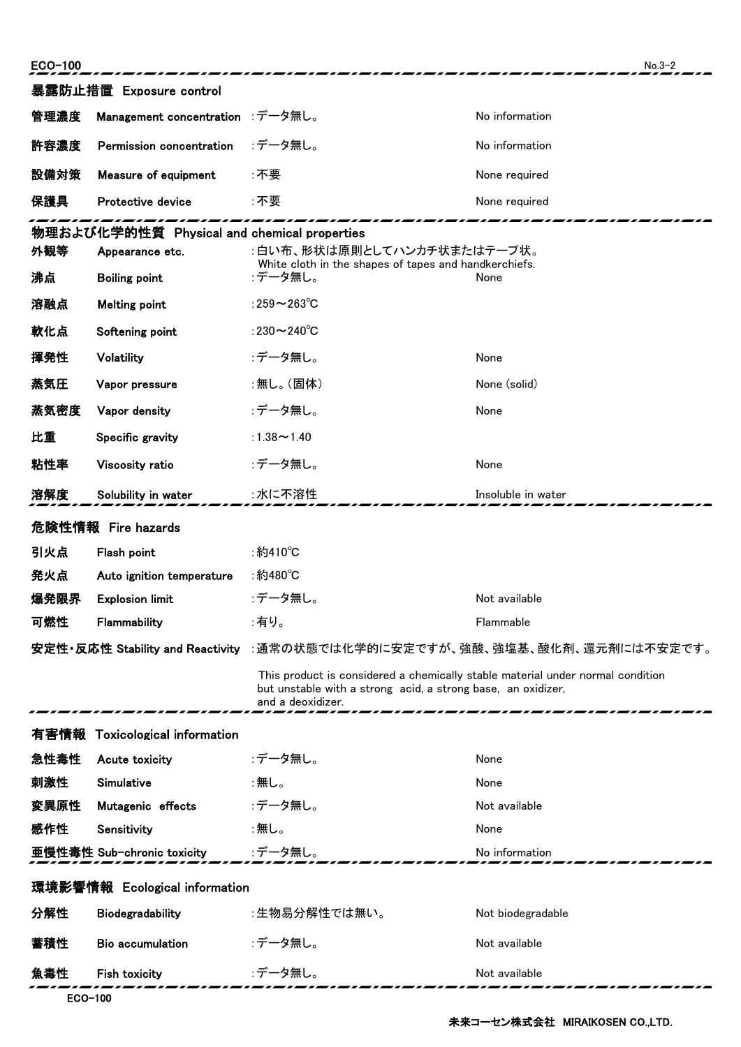| ECO-100                       |                                             |                                                                                                                                                                     | $No.3-2$           |  |
|-------------------------------|---------------------------------------------|---------------------------------------------------------------------------------------------------------------------------------------------------------------------|--------------------|--|
|                               | 暴露防止措置 Exposure control                     |                                                                                                                                                                     |                    |  |
| 管理濃度                          | Management concentration :データ無し。            |                                                                                                                                                                     | No information     |  |
| 許容濃度                          | Permission concentration                    | :データ無し。                                                                                                                                                             | No information     |  |
| 設備対策                          | Measure of equipment                        | :不要                                                                                                                                                                 | None required      |  |
| 保護具                           | Protective device                           | :不要                                                                                                                                                                 | None required      |  |
|                               | 物理および化学的性質 Physical and chemical properties |                                                                                                                                                                     |                    |  |
| 外観等                           | Appearance etc.                             | :白い布、形状は原則としてハンカチ状またはテープ状。<br>White cloth in the shapes of tapes and handkerchiefs.                                                                                 |                    |  |
| 沸点                            | <b>Boiling point</b>                        | :データ無し。                                                                                                                                                             | None               |  |
| 溶融点                           | <b>Melting point</b>                        | :259 $\sim$ 263 $\degree$ C                                                                                                                                         |                    |  |
| 軟化点                           | Softening point                             | :230 $\sim$ 240 $\degree$ C                                                                                                                                         |                    |  |
| 揮発性                           | Volatility                                  | :データ無し。                                                                                                                                                             | None               |  |
| 蒸気圧                           | Vapor pressure                              | :無し。(固体)                                                                                                                                                            | None (solid)       |  |
| 蒸気密度                          | Vapor density                               | :データ無し。                                                                                                                                                             | None               |  |
| 比重                            | Specific gravity                            | :1.38 $\sim$ 1.40                                                                                                                                                   |                    |  |
| 粘性率                           | Viscosity ratio                             | :データ無し。                                                                                                                                                             | None               |  |
| 溶解度                           | Solubility in water                         | :水に不溶性                                                                                                                                                              | Insoluble in water |  |
|                               | 危険性情報 Fire hazards                          |                                                                                                                                                                     |                    |  |
| 引火点                           | Flash point                                 | :約410°C                                                                                                                                                             |                    |  |
| 発火点                           | Auto ignition temperature                   | ∶約480℃                                                                                                                                                              |                    |  |
| 爆発限界                          | <b>Explosion limit</b>                      | :データ無し。                                                                                                                                                             | Not available      |  |
| 可燃性                           | Flammability                                | :有り。                                                                                                                                                                | Flammable          |  |
|                               |                                             | 安定性・反応性 Stability and Reactivity :通常の状態では化学的に安定ですが、強酸、強塩基、酸化剤、還元剤には不安定です。                                                                                           |                    |  |
|                               |                                             | This product is considered a chemically stable material under normal condition<br>but unstable with a strong acid, a strong base, an oxidizer,<br>and a deoxidizer. |                    |  |
|                               | 有害情報 Toxicological information              |                                                                                                                                                                     |                    |  |
| 急性毒性                          | Acute toxicity                              | :データ無し。                                                                                                                                                             | None               |  |
| 刺激性                           | Simulative                                  | :無し。                                                                                                                                                                | None               |  |
| 変異原性                          | Mutagenic effects                           | :データ無し。                                                                                                                                                             | Not available      |  |
| 感作性                           | Sensitivity                                 | :無し。                                                                                                                                                                | None               |  |
|                               | 亜慢性毒性 Sub-chronic toxicity                  | :データ無し。                                                                                                                                                             | No information     |  |
| 環境影響情報 Ecological information |                                             |                                                                                                                                                                     |                    |  |
| 分解性                           | Biodegradability                            | :生物易分解性では無い。                                                                                                                                                        | Not biodegradable  |  |
| 蓄積性                           | <b>Bio accumulation</b>                     | :データ無し。                                                                                                                                                             | Not available      |  |
| 魚毒性                           | <b>Fish toxicity</b>                        | :データ無し。                                                                                                                                                             | Not available      |  |
|                               |                                             |                                                                                                                                                                     |                    |  |

ECO-100